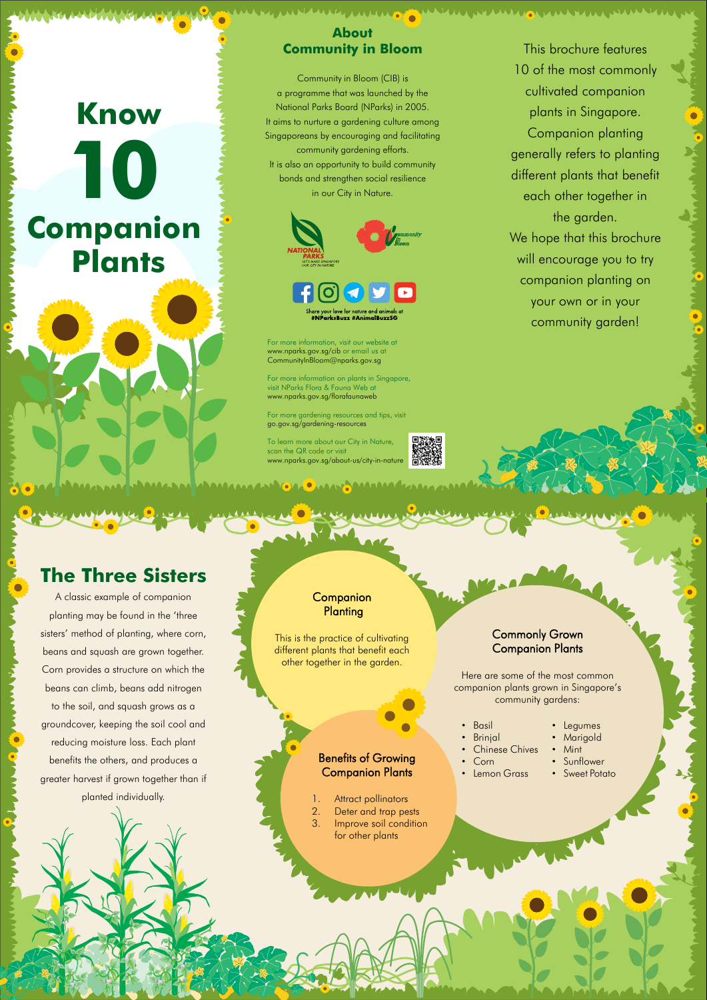# **Know Companion Plants 10**

This brochure features

WUUSA MUUNTUU NUWUU

10 of the most commonly cultivated companion plants in Singapore. Companion planting generally refers to planting different plants that benefit each other together in the garden. We hope that this brochure will encourage you to try companion planting on your own or in your community garden!

### **About Community in Bloom**

To learn more about our City in Nature, scan the QR code or visit www.nparks.gov.sg/about-us/city-in-nature

AAAAAAA WAAAAAAAAAA GA CAASAA AAAAAAA

Community in Bloom (CIB) is a programme that was launched by the National Parks Board (NParks) in 2005. It aims to nurture a gardening culture among Singaporeans by encouraging and facilitating community gardening efforts. It is also an opportunity to build community bonds and strengthen social resilience in our City in Nature.



ksBuzz #AnimalBuzzSG

For more information, visit our website at www.nparks.gov.sg/cib or email us at CommunityInBloom@nparks.gov.sg

For more information on plants in Singapore, visit NParks Flora & Fauna Web at www.nparks.gov.sg/florafaunaweb

For more gardening resources and tips, visit go.gov.sg/gardening-resources

## **The Three Sisters**

A classic example of companion planting may be found in the 'three sisters' method of planting, where corn, beans and squash are grown together. Corn provides a structure on which the beans can climb, beans add nitrogen to the soil, and squash grows as a groundcover, keeping the soil cool and reducing moisture loss. Each plant

#### **Companion Planting**

benefits the others, and produces a

greater harvest if grown together than if

planted individually.



1. Attract pollinators

- 2. Deter and trap pests
- 3. Improve soil condition

for other plants

This is the practice of cultivating different plants that benefit each other together in the garden.

### Commonly Grown Companion Plants

Here are some of the most common companion plants grown in Singapore's community gardens:

| $\bullet$ | <b>Basil</b>   |
|-----------|----------------|
| $\bullet$ | <b>Brinjal</b> |

• Corn

• Lemon Grass • Sunflower

- Legumes • Marigold
- Chinese Chives
- 
- Mint
- 

• Sweet Potato